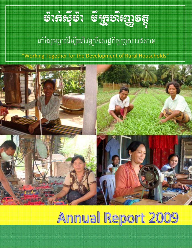

# យើងរួមគ្នាដើម្បីអភិវឌ្ឍន៍សេដ្ឋកិច្ច គ្រូសារជនបទ

"Working Together for the Development of Rural Households"



# Annual Report 2009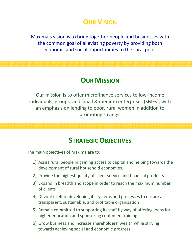## **OUR VISION**

Maxima's vision is to bring together people and businesses with the common goal of alleviating poverty by providing both economic and social opportunities to the rural poor.

### **OUR MISSION**

Our mission is to offer microfinance services to low‐income individuals, groups, and small & medium enterprises (SMEs), with an emphasis on lending to poor, rural women in addition to promoting savings.

### **STRATEGIC OBJECTIVES**

The main objectives of Maxima are to:

- 1) Assist rural people in gaining access to capital and helping towards the development of rural household economies.
- 2) Provide the highest quality of client service and financial products
- 3) Expand in breadth and scope in order to reach the maximum number of clients
- 4) Devote itself to developing its systems and processes to ensure a transparent, sustainable, and profitable organization
- 5) Remain committed to supporting its staff by way of offering loans for higher education and sponsoring continued training
- 6) Grow business and increase shareholders' wealth while striving towards achieving social and economic progress.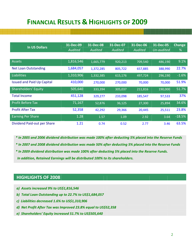### **FINANCIAL RESULTS & HIGHLIGHTS OF 2009**

| <b>In US Dollars</b>              | 31-Dec-09      | 31-Dec-08      | 31-Dec-07      | 31-Dec-06      | 31-Dec-05  | Change   |
|-----------------------------------|----------------|----------------|----------------|----------------|------------|----------|
|                                   | <b>Audited</b> | <b>Audited</b> | <b>Audited</b> | <b>Audited</b> | Un-audited | %        |
|                                   |                |                |                |                |            |          |
| <b>Assets</b>                     | 1,816,546      | 1,665,779      | 920,213        | 709,540        | 486,190    | 9.1%     |
| <b>Net Loan Outstanding</b>       | 1,684,057      | 1,372,285      | 805,722        | 657,885        | 388,990    | 22.7%    |
| Liabilities                       | 1,310,906      | 1,332,385      | 615,176        | 497,724        | 296,190    | $-1.6%$  |
| <b>Issued and Paid Up Capital</b> | 410,000        | 270,000        | 270,000        | 70,000         | 70,000     | 51.9%    |
| <b>Shareholders' Equity</b>       | 505,640        | 333,394        | 305,037        | 211,816        | 190,000    | 51.7%    |
| <b>Total Income</b>               | 451,128        | 329,277        | 233,098        | 185,547        | 97,533     | 37%      |
| <b>Profit Before Tax</b>          | 71,167         | 52,876         | 36,125         | 27,300         | 25,894     | 34.6%    |
| <b>Profit After Tax</b>           | 52,358         | 42,292         | 29,366         | 20,445         | 25,511     | 23.8%    |
| <b>Earning Per Share</b>          | 1.28           | 1.57           | 1.09           | 2.92           | 3.64       | $-18.5%$ |
| Dividend Paid-out per Share       | 1.21           | 0.74           | 0.52           | 2.77           | 3.46       | 63.5%    |

\* In 2005 and 2006 dividend distribution was made 100% after deducting 5% placed into the Reserve Funds \* In 2007 and 2008 dividend distribution was made 50% after deducting 5% placed into the Reserve Funds *\* In 2009 dividend distribution was made 100% after deducting 5% placed into the Reserve Funds. In addition, Retained Earnings will be distributed 100% to its shareholders.* 

### **HIGHLIGHTS OF 2008**

- *a) Assets increased 9% to US\$1,816,546*
- *b) Total Loan Outstanding up to 22.7% to US\$1,684,057*
- *c) Liabilities decreased 1.6% to US\$1,310,906*
- *d) Net Profit After Tax was Improved 23.8% equal to US\$52,358*
- *e) Shareholders' Equity increased 51.7% to US\$505,640*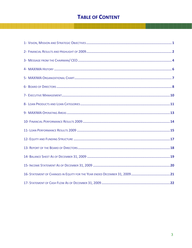### **TABLE OF CONTENT**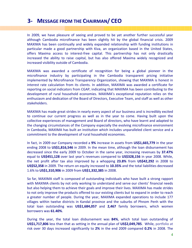### **3‐ MESSAGE FROM THE CHAIRMAN/ CEO**

In 2009, we have pleasure of seeing and proved to be yet another further successful year although Cambodia microfinance has been slightly hit by the global financial crisis. 2009 MAXIMA has been continually and widely expanded relationship with funding institutions in particular made a good partnership with Kiva, an organization based in the United States, offers Maxima access to interest-free capital. This partnership has not only drastically increased the ability to raise capital, but has also offered Maxima widely recognized and increased visibility outside of Cambodia.

MAXIMA was awarded a certificate of recognition for being a global pioneer in the microfinance industry by participating in the Cambodia transparent pricing initiative implemented by Microfinance Transparency Organization, showing that MAXIMA is honest in interest rate calculation from its clients. In addition, MAXIMA was awarded a certificate for reporting on social indicators from CGAP, indicating that MAXIMA has been contributing to the development of rural household economies. MAXIMA's exceptional reputation relies on the enthusiasm and dedication of the Board of Directors, Executive Team, and staff as well as other stakeholders.

MAXIMA has made great strides in nearly every aspect of our business and is incredibly excited to continue our current progress as well as in the year to come. Having built upon the collective experiences of management and Board of directors, who have learnt and adapted to the changing circumstances of the Company especially the evolving microfinance environment in Cambodia, MAXIMA has built an institution which includes unparalleled client service and a commitment to the development of rural household economies.

In fact, in 2009 our Company recorded a **9%** increase in assets from **US\$1,665,779** in the year ending 2008 to **US\$1,816,546** in 2009. In the mean time, although the loan disbursement has decreased since the early 2009 to October in the same year, increasing revenues by **37.47%** equal to **US\$451,128** over last year's revenues compared to **US\$328,156** in year 2008. While, the net profit after tax also improved by a whopping **23.8%** from **US\$42,292** in 2008 to **US\$52,358** in 2009. The return on equity increased to **10.35%** and the total liabilities decreased 1.6% to **US\$1,310,906** in 2009 from **US\$1,332,385** in 2008.

So far, MAXIMA staff is composed of outstanding individuals who have built a strong rapport with MAXIMA clients by not only working to understand and serve our clients' financial needs but also helping them to achieve their goals and improve their lives. MAXIMA has made strides to not only improve the products offered to our existing clients but to expand in order to reach a greater number of people. During the year, MAXIMA expanded operations to include 177 villages within twelve districts in Kandal province and the suburbs of Phnom Penh with the total loan outstanding was **US\$1,684,057** and **2,467** family borrowers, which women borrowers was **61.40%**.

During the year, the total loan disbursement was **84%**, which total loan outstanding of **US\$1,717,806** less than that as setting in the annual plan of **US\$2,049,785**. While, portfolio at risk over 30 days increased significantly to **2%** in the end 2009 compared **0.2%** in 2008. The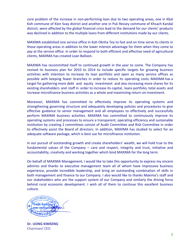core problem of the increase in non‐performing loan due to two operating areas, one in Kbal Koh commune of Kien Svay district and another one in Puk Ressey commune of Khsach Kandal district, were affected by the global financial crisis lead to the demand for our clients' products was declined in addition to the multiple loans from different institutions made by our clients.

MAXIMA established one service office in Koh Oknha Tey to fast and on time serve its clients in those operating areas in addition to the lower interest advantage for them when they come to pay at the service office. In order to respond to both efficient and effective need of agricultural clients, MAXIMA has created Loan Balloon.

MAXIMA has recommitted itself to continued growth in the year to come. The Company has revised its business plan for 2010 to 2014 to include specific targets for growing business activities with intention to increase its loan portfolio and open as many service offices as possible with keeping fewer branches in order to reduce its operating costs. MAXIMA has a target for gathering more debt and equity investment and also increasing more shares for its existing shareholders and staff in order to increase its capital, loans portfolio, total assets and increase microfinance business activities as a whole and maximizing return on investment.

Moreover, MAXIMA has committed to effectively improve its operating systems and strengthening governing structure and adequately developing policies and procedures to give effective guidance to senior management and all employees to effectively and successfully perform MAXIMA business activities. MAXIMA has committed to continuously improve its operating systems and processes to ensure a transparent, operating efficiency and sustainable institution by creating 2 committees consist of Audit Committee and Risk Committee in order to effectively assist the Board of directors. In addition, MAXIMA has studied to select for an adequate software package, which is best use for microfinance institution.

In our pursuit of outstanding growth and create shareholders' wealth, we will hold true to the fundamental values of the Company – care and respect, integrity and trust, initiative and accountability, creativity and working together which bind MAXIMA for the long term.

On behalf of MAXIMA Management, I would like to take this opportunity to express my sincere admires and thanks to executive management team all of whom have impressive business experience, provide incredible leadership, and bring an outstanding combination of skills in both management and finance to our Company. I also would like to thanks Maxima's staff and our stakeholders who are the support system of our Company and similarly the driving force behind rural economic development. I wish all of them to continue this excellent business culture.



**Dr. UONG KIMSENG** Chairman/ CEO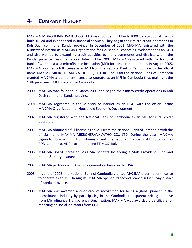### **4‐ COMPANY HISTORY**

MAXIMA MIKROHERANHVATHO CO., LTD was founded in March 2000 by a group of friends both skilled and experienced in financial services. They began their micro credit operations in Koh Dach commune, Kandal province. In December of 2001, MAXIMA registered with the Ministry of Interior as MAXIMA Organization for Household Economic Development as an NGO and also worked to expand its credit activities to many communes and districts within the Kandal province. Less than a year later in May 2002, MAXIMA registered with the National Bank of Cambodia as a microfinance institution (MFI) for rural credit operator. In August 2005, MAXIMA obtained a full license as an MFI from the National Bank of Cambodia with the official name MAXIMA MIKROHERANHVATHO CO., LTD. In June 2008 the National Bank of Cambodia granted MAXIMA a permanent license to operate as an MFI in Cambodia thus making it the 13th permanent MFI operating in Cambodia.

- 2000 MAXIMA was founded in March 2000 and began their micro credit operations in Koh Dach commune, Kandal province.
- 2001 MAXIMA registered in the Ministry of Interior as an NGO with the official name MAXIMA Organization for Household Economic Development.
- 2002 MAXIMA registered with the National Bank of Cambodia as an MFI for rural credit operator.
- 2005 MAXIMA obtained a full license as an MFI from the National Bank of Cambodia with the official name MAXIMA MIKROHERANHVATHO CO., LTD. During the year, MAXIMA began to borrow funds from domestic and international financial institutions such as RDB–Cambodia, ADA–Luxemburg and ETIMOS–Italy.
- 2006 MAXIMA Board increased MAXIMA benefits by adding a Staff Provident Fund and Health & Injury Insurance.
- 2007 MAXIMA partners with Kiva, an organization based in the USA.
- 2008 In June of 2008, the National Bank of Cambodia granted MAXIMA a permanent license to operate as an MFI. In August, MAXIMA opened its second branch in Kien Svay district of Kandal province.
- 2009 MAXIMA was awarded a certificate of recognition for being a global pioneer in the microfinance industry by participating in the Cambodia transparent pricing initiative from Microfinance Transparency Organization. MAXIMA was awarded a certificate for reporting on social indicators from CGAP.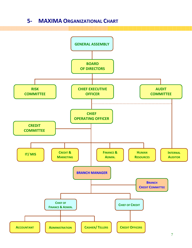### **5‐ MAXIMA ORGANIZATIONAL CHART**

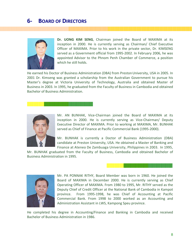### **6‐ BOARD OF DIRECTORS**



**Dr. UONG KIM SENG**, Chairman joined the Board of MAXIMA at its inception in 2000. He is currently serving as Chairman/ Chief Executive Officer of MAXIMA. Prior to his work in the private sector, Dr. KIMSENG served as a Government official from 1995‐2002. In February 2006, he was appointed Advisor to the Phnom Penh Chamber of Commerce, a position which he still holds.

He earned his Doctor of Business Administration (DBA) from Preston University, USA in 2005. In 2001 Dr. Kimseng was granted a scholarship from the Australian Government to pursue his Master's degree at Victoria University of Technology, Australia and obtained Master of Business in 2003. In 1995, he graduated from the Faculty of Business in Cambodia and obtained Bachelor of Business Administration.

#### , a station de station de station de la companie de station de station de station de station de station de sta<br>De la companie de station de station de station de station de station de station de station de station de stat



Mr. AN BUNHAK, Vice‐Chairman joined the Board of MAXIMA at its inception in 2000. He is currently serving as Vice‐Chairman/ Deputy Executive Director of MAXIMA. Prior to working at MAXIMA, Mr. BUNHAK served as Chief of Finance at Pacific Commercial Bank (1995‐2000).

Mr. BUNHAK is currently a Doctor of Business Administration (DBA) candidate at Preston University, USA. He obtained a Master of Banking and Finance at Ateneo De Zambuaga University, Philippines in 2003. In 1995,

Mr. BUNHAK graduated from the Faculty of Business, Cambodia and obtained Bachelor of Business Administration in 1995.



Mr. PA PONNAK RITHY, Board Member was born in 1960. He joined the Board of MAXIMA in December 2000. He is currently serving as Chief Operating Officer of MAXIMA. From 1980 to 1995, Mr. RITHY served as the Deputy Chief of Credit Officer at the National Bank of Cambodia in Kampot province. From 1995‐1998, he was Chief of Accounting at Pacific Commercial Bank. From 1998 to 2000 worked as an Accounting and Administration Assistant in LWS, Kampong Speu province.

He completed his degree in Accounting/Finance and Banking in Cambodia and received Bachelor of Business Administration in 1986.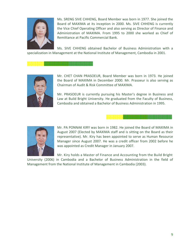

Ms. SRENG SIVE CHHENG, Board Member was born in 1977. She joined the Board of MAXIMA at its inception in 2000. Ms. SIVE CHHENG is currently the Vice Chief Operating Officer and also serving as Director of Finance and Administration of MAXIMA. From 1995 to 2000 she worked as Chief of Remittance at Pacific Commercial Bank.

Ms. SIVE CHHENG obtained Bachelor of Business Administration with a specialization in Management at the National Institute of Management, Cambodia in 2001.



Mr. CHET CHAN PRASOEUR, Board Member was born in 1973. He joined the Board of MAXIMA in December 2000. Mr. Prasoeur is also serving as Chairman of Audit & Risk Committee of MAXIMA.

Mr. PRASOEUR is currently pursuing his Master's degree in Business and Law at Build Bright University. He graduated from the Faculty of Business, Cambodia and obtained a Bachelor of Business Administration in 1995.

Mr. PA PONNAK KIRY was born in 1982. He joined the Board of MAXIMA in August 2007 (Elected by MAXIMA staff and is sitting on the Board as their representative). Mr. Kiry has been appointed to serve as Human Resource Manager since August 2007. He was a credit officer from 2002 before he was appointed as Credit Manager in January 2007.

Mr. Kiry holds a Master of Finance and Accounting from the Build Bright

University (2006) in Cambodia and a Bachelor of Business Administration in the field of Management from the National Institute of Management in Cambodia (2003).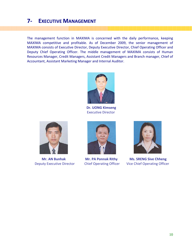### **7‐ EXECUTIVE MANAGEMENT**

The management function in MAXIMA is concerned with the daily performance, keeping MAXIMA competitive and profitable. As of December 2009, the senior management of MAXIMA consists of Executive Director, Deputy Executive Director, Chief Operating Officer and Deputy Chief Operating Officer. The middle management of MAXIMA consists of Human Resources Manager, Credit Managers, Assistant Credit Managers and Branch manager, Chief of Accountant, Assistant Marketing Manager and Internal Auditor.



 **Dr. UONG Kimseng Executive Director** 







 **Mr. AN Bunhak Mr. PA Ponnak Rithy Ms. SRENG Sive Chheng**  Deputy Executive Director Chief Operating Officer Vice Chief Operating Officer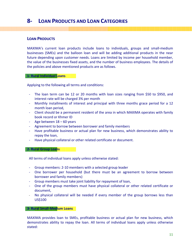### **8‐ LOAN PRODUCTS AND LOAN CATEGORIES**

### **LOAN PRODUCTS**

MAXIMA's current loan products include loans to individuals, groups and small‐medium businesses (SMEs) and the balloon loan and will be adding additional products in the near future depending upon customer needs. Loans are limited by income per household member, the value of the businesses fixed assets, and the number of business employees. The details of the policies and above mentioned products are as follows.

#### **1‐ Rural Individual Loans**

Applying to the following all terms and conditions:

- ‐ The loan term can be 12 or 20 months with loan sizes ranging from \$50 to \$950, and interest rate will be charged 3% per month
- ‐ Monthly installments of interest and principal with three months grace period for a 12 month loan period,
- ‐ Client should be a permanent resident of the area in which MAXIMA operates with family book record or Khmer ID
- ‐ Age between 18 60 years
- Agreement to borrow between borrower and family members
- ‐ Have profitable business or actual plan for new business, which demonstrates ability to repay the loan,
- Have physical collateral or other related certificate or document.

**2‐ Rural Group Loans**

All terms of individual loans apply unless otherwise stated:

- ‐ Group members: 2‐10 members with a selected group leader
- ‐ One borrower per household (but there must be an agreement to borrow between borrower and family members)
- ‐ Group members must take joint liability for repayment of loan,
- One of the group members must have physical collateral or other related certificate or document,
- No physical collateral will be needed if every member of the group borrows less than US\$100.

#### **3‐ Rural Small‐Medium Loans**

MAXIMA provides loan to SMEs, profitable business or actual plan for new business, which demonstrates ability to repay the loan. All terms of individual loans apply unless otherwise stated: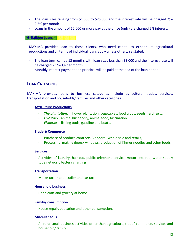- ‐ The loan sizes ranging from \$1,000 to \$25,000 and the interest rate will be charged 2%‐ 2.5% per month
- ‐ Loans in the amount of \$2,000 or more pay at the office (only) are charged 2% interest.

#### **4‐ Balloon Loans**

MAXIMA provides loan to those clients, who need capital to expand its agricultural productions and all terms of individual loans apply unless otherwise stated:

- ‐ The loan term can be 12 months with loan sizes less than \$3,000 and the interest rate will be charged 2.5%‐3% per month
- ‐ Monthly interest payment and principal will be paid at the end of the loan period

### **LOAN CATEGORIES**

MAXIMA provides loans to business categories include agriculture, trades, services, transportation and households/ families and other categories.

#### **Agriculture Productions**

- ‐ *The plantation*: flower plantation, vegetables, food crops, seeds, fertilizer…
- ‐ *Livestock*: animal husbandry, animal food, fascination...
- ‐ *Fisheries*: fishing tools, gasoline and boat...

#### **Trade & Commerce**

- ‐ Purchase of produce contracts, Vendors ‐ whole sale and retails,
- ‐ Processing, making doors/ windows, production of Khmer noodles and other foods

#### **Services**

Activities of laundry, hair cut, public telephone service, motor‐repaired, water supply tube network, battery charging

#### **Transportation**

Motor taxi, motor trailer and car taxi...

#### **Household business**

Handicraft and grocery at home

#### **Family/ consumption**

House repair, education and other consumption…

#### **Miscellaneous**

All rural small business activities other than agriculture, trade/ commerce, services and household/ family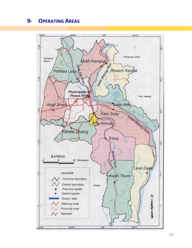### **‐ OPERATING AREAS**

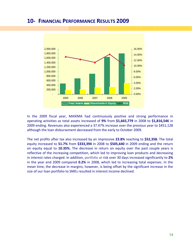### **10‐ FINANCIAL PERFORMANCE RESULTS 2009**



In the 2009 fiscal year, MAXIMA had continuously positive and strong performance in operating activities as total assets increased of **9%** from **\$1,665,779** in 2008 to **\$1,816,546** in 2009 ending. Revenues also experienced a 37.47% increase over the previous year to \$451,128 although the loan disbursement decreased from the early to October 2009.

The net profits after tax also increased by an impressive **23.8%** reaching to **\$52,358.** The total equity increased to **51.7%** from **\$333,394** in 2008 to **\$505,640** in 2009 ending and the return on equity equal to **10.35%.** The decrease in return on equity over the past couple years is reflective of the increasing competition, which led to improving loan products and decreasing in interest rates charged. In addition, portfolio at risk over 30 days increased significantly to **2%** in the year end 2009 compared **0.2%** in 2008, which led to increasing total expenses. In the mean time, the decrease in margins, however, is being offset by the significant increase in the size of our loan portfolio to SMEs resulted in interest income declined.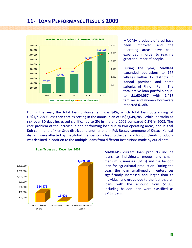### **11‐ LOAN PERFORMANCE RESULTS 2009**



MAXIMA products offered have been improved and the operating areas have been expanded in order to reach a greater number of people.

During the year, MAXIMA expanded operations to 177 villages within 12 districts in Kandal province and some suburbs of Phnom Penh. The total active loan portfolio equal to **\$1,684,057** with **2,467** families and women borrowers reported **61.4%**.

During the year, the total loan disbursement was **84%**, which total loan outstanding of **US\$1,717,806** less than that as setting in the annual plan of **US\$2,049,785**. While, portfolio at risk over 30 days increased significantly to **2%** in the end 2009 compared **0.2%** in 2008. The core problem of the increase in non‐performing loan due to two operating areas, one in Kbal Koh commune of Kien Svay district and another one in Puk Ressey commune of Khsach Kandal district, were affected by the global financial crisis lead to the demand for our clients' products was declined in addition to the multiple loans from different institutions made by our clients.



**Loan Types as of December 2009**

MAXIMA's current loan products include loans to individuals, groups and small‐ medium businesses (SMEs) and the balloon loan for agricultural production. During the year, the loan small‐medium enterprises significantly increased and larger than to individual and group due to the fact that all loans with the amount from \$1,000 including balloon loan were classified as SMEs loans.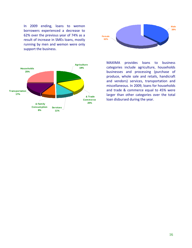In 2009 ending, loans to wemon borrowers experienced a decrease to 62% over the previous year of 74% as a result of increase in SMEs loans, mostly running by men and wemon were only support the business.





MAXIMA provides loans to business categories include agriculture, households businesses and processing (purchase of produce, whole sale and retails, handicraft and vendors) services, transportation and miscellaneous. In 2009, loans for households and trade & commerce equal to 45% were larger than other categories over the total loan disbursed during the year.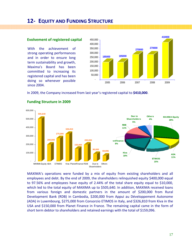### **12‐ EQUITY AND FUNDING STRUCTURE**

#### **Evolvement of registered capital**

With the achievement of strong operating performances and in order to ensure long term sustainability and growth, Maxima's Board has been committed to increasing its registered capital and has been doing so whenever possible since 2004.



In 2009, the Company increased from last year's registered capital to **\$410,000**.



#### **Funding Structure in 2009**

MAXIMA's operations were funded by a mix of equity from existing shareholders and all employees and debt. By the end of 2009, the shareholders relinquished equity \$400,000 equal to 97.56% and employees have equity of 2.44% of the total share equity equal to \$10,000, which led to the total equity of MAXIMA up to \$505,640. In addition, MAXIMA received loans from various foreign and domestic partners in the amount of \$200,000 from Rural Development Bank (RDB) in Cambodia, \$200,000 from Appui au Développement Autonome (ADA) in Luxembourg, \$275,000 from Consorzio ETIMOS in Italy, and \$326,810 from Kiva in the USA and \$150,000 from Planet Finance in France. The remaining capital came in the form of short term debtor to shareholders and retained earnings with the total of \$159,096.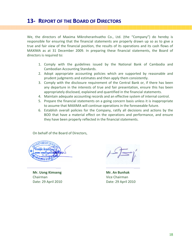### **13‐ REPORT OF THE BOARD OF DIRECTORS**

We, the directors of Maxima Mikroheranhvatho Co., Ltd. (the "Company") do hereby is responsible for ensuring that the financial statements are properly drawn up so as to give a true and fair view of the financial position, the results of its operations and its cash flows of MAXIMA as at 31 December 2009. In preparing these financial statements, the Board of directors is required to:

- 1. Comply with the guidelines issued by the National Bank of Cambodia and Cambodian Accounting Standards.
- 2. Adopt appropriate accounting policies which are supported by reasonable and prudent judgments and estimates and then apply them consistently.
- 3. Comply with the disclosure requirement of the Central Bank or, if there has been any departure in the interests of true and fair presentation, ensure this has been appropriately disclosed, explained and quantified in the financial statements.
- 4. Maintain adequate accounting records and an effective system of internal control.
- 5. Prepare the financial statements on a going concern basis unless it is inappropriate to assume that MAXIMA will continue operations in the foreseeable future.
- 6. Establish overall policies for the Company, ratify all decisions and actions by the BOD that have a material effect on the operations and performance, and ensure they have been properly reflected in the financial statements.

On behalf of the Board of Directors,

\_\_\_\_\_\_\_\_\_\_\_\_\_\_\_\_\_\_\_\_\_\_\_ \_\_\_\_\_\_\_\_\_\_\_\_\_\_\_\_\_\_\_\_\_\_



**Mr. Uong Kimseng Mr. An Bunhak** Chairman Vice Chairman Date: 29 April 2010 Date: 29 April 2010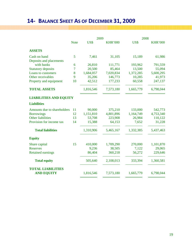### **14‐ BALANCE SHEET AS OF DECEMBER 31, 2009**

|                               |             | 2009      |                | 2008      |                |
|-------------------------------|-------------|-----------|----------------|-----------|----------------|
|                               | <b>Note</b> | US\$      | <b>KHR'000</b> | US\$      | <b>KHR'000</b> |
| <b>ASSETS</b>                 |             |           |                |           |                |
| Cash on hand                  | 5           | 7,461     | 31,105         | 15,189    | 61,986         |
| Deposits and placements       |             |           |                |           |                |
| with banks                    | 6           | 26,810    | 111,771        | 193,962   | 791,559        |
| <b>Statutory deposits</b>     | 7           | 20,500    | 85,464         | 13,500    | 55,094         |
| Loans to customers            | 8           | 1,684,057 | 7,020,834      | 1,372,285 | 5,600,295      |
| Other receivables             | 9           | 35,206    | 146,773        | 10,285    | 41,973         |
| Property and equipment        | 10          | 42,512    | 177,233        | 60,558    | 247,137        |
| <b>TOTAL ASSETS</b>           |             | 1,816,546 | 7,573,180      | 1,665,779 | 6,798,044      |
| <b>LIABILITIES AND EQUITY</b> |             |           |                |           |                |
| <b>Liabilities</b>            |             |           |                |           |                |
| Amounts due to shareholders   | 11          | 90,000    | 375,210        | 133,000   | 542,773        |
| <b>Borrowings</b>             | 12          | 1,151,810 | 4,801,896      | 1,164,749 | 4,753,340      |
| <b>Other liabilities</b>      | 13          | 53,708    | 223,908        | 26,984    | 110,122        |
| Provision for income tax      | 14          | 15,388    | 64,153         | 7,652     | 31,228         |
| <b>Total liabilities</b>      |             | 1,310,906 | 5,465,167      | 1,332,385 | 5,437,463      |
| <b>Equity</b>                 |             |           |                |           |                |
| Share capital                 | 15          | 410,000   | 1,709,290      | 270,000   | 1,101,870      |
| <b>Reserves</b>               |             | 9,236     | 38,505         | 7,122     | 29,065         |
| <b>Retained earnings</b>      |             | 86,404    | 360,218        | 56,272    | 229,646        |
| <b>Total equity</b>           |             | 505,640   | 2,108,013      | 333,394   | 1,360,581      |
| <b>TOTAL LIABILITIES</b>      |             |           |                |           |                |
| <b>AND EQUITY</b>             |             | 1,816,546 | 7,573,180      | 1,665,779 | 6,798,044      |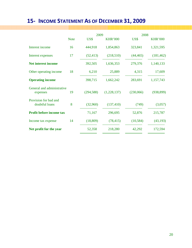### **15‐ INCOME STATEMENT AS OF DECEMBER 31, 2009**

|                                         |             | 2009       |                | 2008      |                |
|-----------------------------------------|-------------|------------|----------------|-----------|----------------|
|                                         | <b>Note</b> | US\$       | <b>KHR'000</b> | US\$      | <b>KHR'000</b> |
| Interest income                         | 16          | 444,918    | 1,854,863      | 323,841   | 1,321,595      |
| Interest expenses                       | 17          | (52, 413)  | (218,510)      | (44, 465) | (181, 462)     |
| <b>Net interest income</b>              |             | 392,505    | 1,636,353      | 279,376   | 1,140,133      |
| Other operating income                  | 18          | 6,210      | 25,889         | 4,315     | 17,609         |
| <b>Operating income</b>                 |             | 398,715    | 1,662,242      | 283,691   | 1,157,743      |
| General and administrative<br>expenses  | 19          | (294, 588) | (1,228,137)    | (230,066) | (938, 899)     |
| Provision for bad and<br>doubtful loans | 8           | (32,960)   | (137, 410)     | (749)     | (3,057)        |
| <b>Profit before income tax</b>         |             | 71,167     | 296,695        | 52,876    | 215,787        |
| Income tax expense                      | 14          | (18, 809)  | (78, 415)      | (10, 584) | (43, 193)      |
| Net profit for the year                 |             | 52,358     | 218,280        | 42,292    | 172,594        |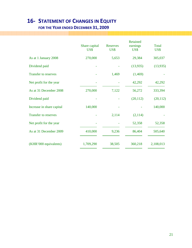### **16‐ STATEMENT OF CHANGES IN EQUITY**

### **FOR THE YEAR ENDED DECEMBER 31, 2009**

|                             | Share capital<br>US\$ | Reserves<br>US\$ | Retained<br>earnings<br>US\$ | Total<br>US\$ |
|-----------------------------|-----------------------|------------------|------------------------------|---------------|
| As at 1 January 2008        | 270,000               | 5,653            | 29,384                       | 305,037       |
| Dividend paid               |                       |                  | (13, 935)                    | (13,935)      |
| <b>Transfer to reserves</b> |                       | 1,469            | (1,469)                      |               |
| Net profit for the year     |                       |                  | 42,292                       | 42,292        |
| As at 31 December 2008      | 270,000               | 7,122            | 56,272                       | 333,394       |
| Dividend paid               |                       |                  | (20, 112)                    | (20, 112)     |
| Increase in share capital   | 140,000               |                  |                              | 140,000       |
| <b>Transfer to reserves</b> |                       | 2,114            | (2,114)                      |               |
| Net profit for the year     |                       |                  | 52,358                       | 52,358        |
| As at 31 December 2009      | 410,000               | 9,236            | 86,404                       | 505,640       |
| (KHR'000 equivalents)       | 1,709,290             | 38,505           | 360,218                      | 2,108,013     |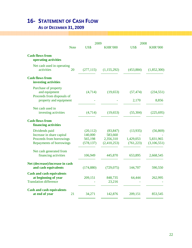### **16‐ STATEMENT OF CASH FLOW**

### **AS OF DECEMBER 31, 2009**

|                                                                                                            | 2009                                          |                                                  | 2008                                |                                       |
|------------------------------------------------------------------------------------------------------------|-----------------------------------------------|--------------------------------------------------|-------------------------------------|---------------------------------------|
| <b>Note</b>                                                                                                | US\$                                          | <b>KHR'000</b>                                   | US\$                                | <b>KHR'000</b>                        |
| <b>Cash flows from</b><br>operating activities                                                             |                                               |                                                  |                                     |                                       |
| Net cash used in operating<br>activities<br>20                                                             | (277, 115)                                    | (1, 155, 292)                                    | (453, 884)                          | (1,852,300)                           |
| <b>Cash flows from</b><br>investing activities                                                             |                                               |                                                  |                                     |                                       |
| Purchase of property<br>and equipment<br>Proceeds from disposals of                                        | (4,714)                                       | (19, 653)                                        | (57, 474)                           | (234, 551)                            |
| property and equipment                                                                                     |                                               |                                                  | 2,170                               | 8,856                                 |
| Net cash used in<br>investing activities                                                                   | (4,714)                                       | (19,653)                                         | (55,304)                            | (225, 695)                            |
| <b>Cash flows from</b><br>financing activities                                                             |                                               |                                                  |                                     |                                       |
| Dividends paid<br>Increase in share capital<br>Proceeds from borrowings<br><b>Repayments of borrowings</b> | (20, 112)<br>140,000<br>565,198<br>(578, 137) | (83, 847)<br>583,660<br>2,356,310<br>(2,410,253) | (13,935)<br>1,429,053<br>(761, 223) | (56, 869)<br>5,831,965<br>(3,106,551) |
| Net cash generated from<br>financing activities                                                            | 106,949                                       | 445,870                                          | 653,895                             | 2,668,545                             |
| Net (decrease)/increase in cash<br>and cash equivalents                                                    | (174, 880)                                    | (729, 075)                                       | 144,707                             | 590,550                               |
| <b>Cash and cash equivalents</b><br>at beginning of year<br><b>Translation difference</b>                  | 209,151                                       | 848,735<br>23,216                                | 64,444                              | 262,995                               |
| <b>Cash and cash equivalents</b><br>at end of year<br>21                                                   | 34,271                                        | 142,876                                          | 209,151                             | 853,545                               |